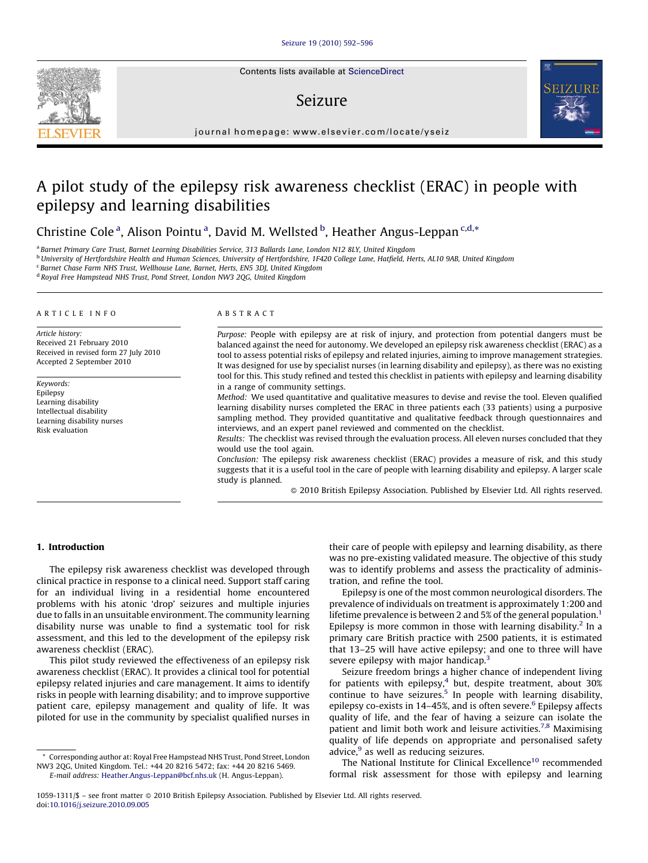Contents lists available at [ScienceDirect](http://www.sciencedirect.com/science/journal/10591311)

## Seizure



journal homepage: www.elsevier.com/locate/yseiz

# A pilot study of the epilepsy risk awareness checklist (ERAC) in people with epilepsy and learning disabilities

### Christine Cole<sup>a</sup>, Alison Pointu<sup>a</sup>, David M. Wellsted <sup>b</sup>, Heather Angus-Leppan<sup>c,d,\*</sup>

<sup>a</sup> Barnet Primary Care Trust, Barnet Learning Disabilities Service, 313 Ballards Lane, London N12 8LY, United Kingdom

<sup>b</sup> University of Hertfordshire Health and Human Sciences, University of Hertfordshire, 1F420 College Lane, Hatfield, Herts, AL10 9AB, United Kingdom

<sup>c</sup> Barnet Chase Farm NHS Trust, Wellhouse Lane, Barnet, Herts, EN5 3DJ, United Kingdom

<sup>d</sup> Royal Free Hampstead NHS Trust, Pond Street, London NW3 2QG, United Kingdom

#### ARTICLE INFO

Article history: Received 21 February 2010 Received in revised form 27 July 2010 Accepted 2 September 2010

Keywords: Epilepsy Learning disability Intellectual disability Learning disability nurses Risk evaluation

#### ABSTRACT

Purpose: People with epilepsy are at risk of injury, and protection from potential dangers must be balanced against the need for autonomy. We developed an epilepsy risk awareness checklist (ERAC) as a tool to assess potential risks of epilepsy and related injuries, aiming to improve management strategies. It was designed for use by specialist nurses (in learning disability and epilepsy), as there was no existing tool for this. This study refined and tested this checklist in patients with epilepsy and learning disability in a range of community settings.

Method: We used quantitative and qualitative measures to devise and revise the tool. Eleven qualified learning disability nurses completed the ERAC in three patients each (33 patients) using a purposive sampling method. They provided quantitative and qualitative feedback through questionnaires and interviews, and an expert panel reviewed and commented on the checklist.

Results: The checklist was revised through the evaluation process. All eleven nurses concluded that they would use the tool again.

Conclusion: The epilepsy risk awareness checklist (ERAC) provides a measure of risk, and this study suggests that it is a useful tool in the care of people with learning disability and epilepsy. A larger scale study is planned.

- 2010 British Epilepsy Association. Published by Elsevier Ltd. All rights reserved.

#### 1. Introduction

The epilepsy risk awareness checklist was developed through clinical practice in response to a clinical need. Support staff caring for an individual living in a residential home encountered problems with his atonic 'drop' seizures and multiple injuries due to falls in an unsuitable environment. The community learning disability nurse was unable to find a systematic tool for risk assessment, and this led to the development of the epilepsy risk awareness checklist (ERAC).

This pilot study reviewed the effectiveness of an epilepsy risk awareness checklist (ERAC). It provides a clinical tool for potential epilepsy related injuries and care management. It aims to identify risks in people with learning disability; and to improve supportive patient care, epilepsy management and quality of life. It was piloted for use in the community by specialist qualified nurses in

\* Corresponding author at: Royal Free Hampstead NHS Trust, Pond Street, London NW3 2QG, United Kingdom. Tel.: +44 20 8216 5472; fax: +44 20 8216 5469.

E-mail address: [Heather.Angus-Leppan@bcf.nhs.uk](mailto:Heather.Angus-Leppan@bcf.nhs.uk) (H. Angus-Leppan).

their care of people with epilepsy and learning disability, as there was no pre-existing validated measure. The objective of this study was to identify problems and assess the practicality of administration, and refine the tool.

Epilepsy is one of the most common neurological disorders. The prevalence of individuals on treatment is approximately 1:200 and lifetime prevalence is between 2 and 5% of the general population.<sup>1</sup> Epilepsy is more common in those with learning disability.<sup>2</sup> In a primary care British practice with 2500 patients, it is estimated that 13–25 will have active epilepsy; and one to three will have severe epilepsy with major handicap.<sup>3</sup>

Seizure freedom brings a higher chance of independent living for patients with epilepsy, $4$  but, despite treatment, about 30% continue to have seizures.<sup>5</sup> In people with learning disability, epilepsy co-exists in 14–45%, and is often severe.<sup>[6](#page--1-0)</sup> Epilepsy affects quality of life, and the fear of having a seizure can isolate the patient and limit both work and leisure activities.<sup>[7,8](#page--1-0)</sup> Maximising quality of life depends on appropriate and personalised safety advice, $9$  as well as reducing seizures.

The National Institute for Clinical Excellence<sup>10</sup> recommended formal risk assessment for those with epilepsy and learning

<sup>1059-1311/\$ -</sup> see front matter © 2010 British Epilepsy Association. Published by Elsevier Ltd. All rights reserved. doi:[10.1016/j.seizure.2010.09.005](http://dx.doi.org/10.1016/j.seizure.2010.09.005)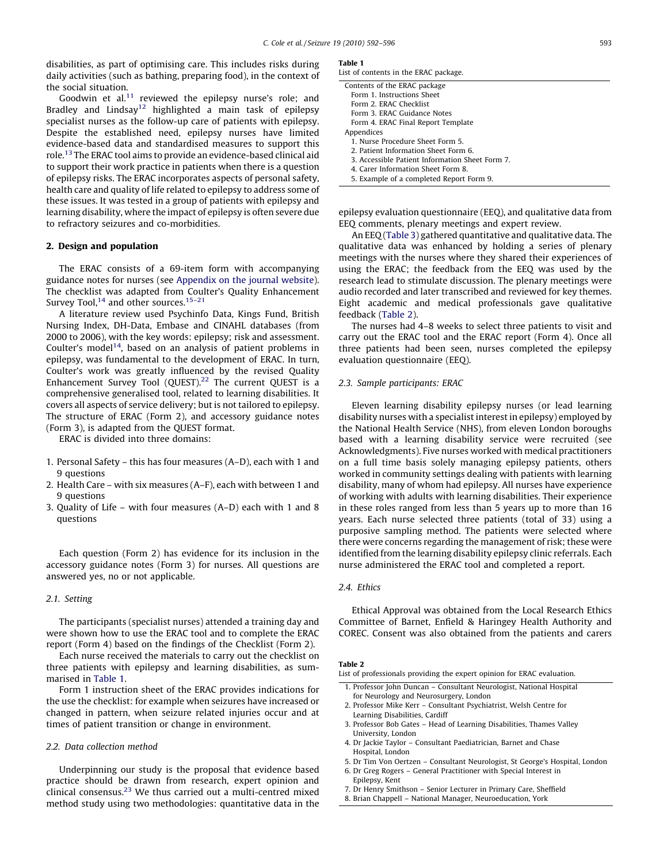disabilities, as part of optimising care. This includes risks during daily activities (such as bathing, preparing food), in the context of the social situation.

Goodwin et al. $11$  reviewed the epilepsy nurse's role; and Bradley and Lindsay<sup>12</sup> highlighted a main task of epilepsy specialist nurses as the follow-up care of patients with epilepsy. Despite the established need, epilepsy nurses have limited evidence-based data and standardised measures to support this role.[13](#page--1-0) The ERAC tool aims to provide an evidence-based clinical aid to support their work practice in patients when there is a question of epilepsy risks. The ERAC incorporates aspects of personal safety, health care and quality of life related to epilepsy to address some of these issues. It was tested in a group of patients with epilepsy and learning disability, where the impact of epilepsy is often severe due to refractory seizures and co-morbidities.

#### 2. Design and population

The ERAC consists of a 69-item form with accompanying guidance notes for nurses (see Appendix on the journal website). The checklist was adapted from Coulter's Quality Enhancement Survey Tool,<sup>[14](#page--1-0)</sup> and other sources.<sup>15-21</sup>

A literature review used Psychinfo Data, Kings Fund, British Nursing Index, DH-Data, Embase and CINAHL databases (from 2000 to 2006), with the key words: epilepsy; risk and assessment. Coulter's model<sup>[14](#page--1-0)</sup>, based on an analysis of patient problems in epilepsy, was fundamental to the development of ERAC. In turn, Coulter's work was greatly influenced by the revised Quality Enhancement Survey Tool (QUEST).<sup>[22](#page--1-0)</sup> The current QUEST is a comprehensive generalised tool, related to learning disabilities. It covers all aspects of service delivery; but is not tailored to epilepsy. The structure of ERAC (Form 2), and accessory guidance notes (Form 3), is adapted from the QUEST format.

ERAC is divided into three domains:

- 1. Personal Safety this has four measures (A–D), each with 1 and 9 questions
- 2. Health Care with six measures (A–F), each with between 1 and 9 questions
- 3. Quality of Life with four measures (A–D) each with 1 and 8 questions

Each question (Form 2) has evidence for its inclusion in the accessory guidance notes (Form 3) for nurses. All questions are answered yes, no or not applicable.

#### 2.1. Setting

The participants (specialist nurses) attended a training day and were shown how to use the ERAC tool and to complete the ERAC report (Form 4) based on the findings of the Checklist (Form 2).

Each nurse received the materials to carry out the checklist on three patients with epilepsy and learning disabilities, as summarised in Table 1.

Form 1 instruction sheet of the ERAC provides indications for the use the checklist: for example when seizures have increased or changed in pattern, when seizure related injuries occur and at times of patient transition or change in environment.

#### 2.2. Data collection method

Underpinning our study is the proposal that evidence based practice should be drawn from research, expert opinion and clinical consensus. $^{23}$  $^{23}$  $^{23}$  We thus carried out a multi-centred mixed method study using two methodologies: quantitative data in the

#### Table 1

| List of contents in the ERAC package.           |  |
|-------------------------------------------------|--|
| Contents of the ERAC package                    |  |
| Form 1. Instructions Sheet                      |  |
| Form 2. ERAC Checklist                          |  |
| Form 3. ERAC Guidance Notes                     |  |
| Form 4. ERAC Final Report Template              |  |
| Appendices                                      |  |
| 1. Nurse Procedure Sheet Form 5.                |  |
| 2. Patient Information Sheet Form 6.            |  |
| 3. Accessible Patient Information Sheet Form 7. |  |
| 4. Carer Information Sheet Form 8.              |  |

5. Example of a completed Report Form 9.

epilepsy evaluation questionnaire (EEQ), and qualitative data from EEQ comments, plenary meetings and expert review.

An EEQ [\(Table 3](#page--1-0)) gathered quantitative and qualitative data. The qualitative data was enhanced by holding a series of plenary meetings with the nurses where they shared their experiences of using the ERAC; the feedback from the EEQ was used by the research lead to stimulate discussion. The plenary meetings were audio recorded and later transcribed and reviewed for key themes. Eight academic and medical professionals gave qualitative feedback (Table 2).

The nurses had 4–8 weeks to select three patients to visit and carry out the ERAC tool and the ERAC report (Form 4). Once all three patients had been seen, nurses completed the epilepsy evaluation questionnaire (EEQ).

#### 2.3. Sample participants: ERAC

Eleven learning disability epilepsy nurses (or lead learning disability nurses with a specialist interest in epilepsy) employed by the National Health Service (NHS), from eleven London boroughs based with a learning disability service were recruited (see Acknowledgments). Five nurses worked with medical practitioners on a full time basis solely managing epilepsy patients, others worked in community settings dealing with patients with learning disability, many of whom had epilepsy. All nurses have experience of working with adults with learning disabilities. Their experience in these roles ranged from less than 5 years up to more than 16 years. Each nurse selected three patients (total of 33) using a purposive sampling method. The patients were selected where there were concerns regarding the management of risk; these were identified from the learning disability epilepsy clinic referrals. Each nurse administered the ERAC tool and completed a report.

#### 2.4. Ethics

Ethical Approval was obtained from the Local Research Ethics Committee of Barnet, Enfield & Haringey Health Authority and COREC. Consent was also obtained from the patients and carers

#### Table 2

List of professionals providing the expert opinion for ERAC evaluation.

- 1. Professor John Duncan Consultant Neurologist, National Hospital for Neurology and Neurosurgery, London
- 2. Professor Mike Kerr Consultant Psychiatrist, Welsh Centre for Learning Disabilities, Cardiff
- 3. Professor Bob Gates Head of Learning Disabilities, Thames Valley University, London
- 4. Dr Jackie Taylor Consultant Paediatrician, Barnet and Chase Hospital, London
- 5. Dr Tim Von Oertzen Consultant Neurologist, St George's Hospital, London 6. Dr Greg Rogers – General Practitioner with Special Interest in
- Epilepsy, Kent 7. Dr Henry Smithson – Senior Lecturer in Primary Care, Sheffield
- 8. Brian Chappell National Manager, Neuroeducation, York